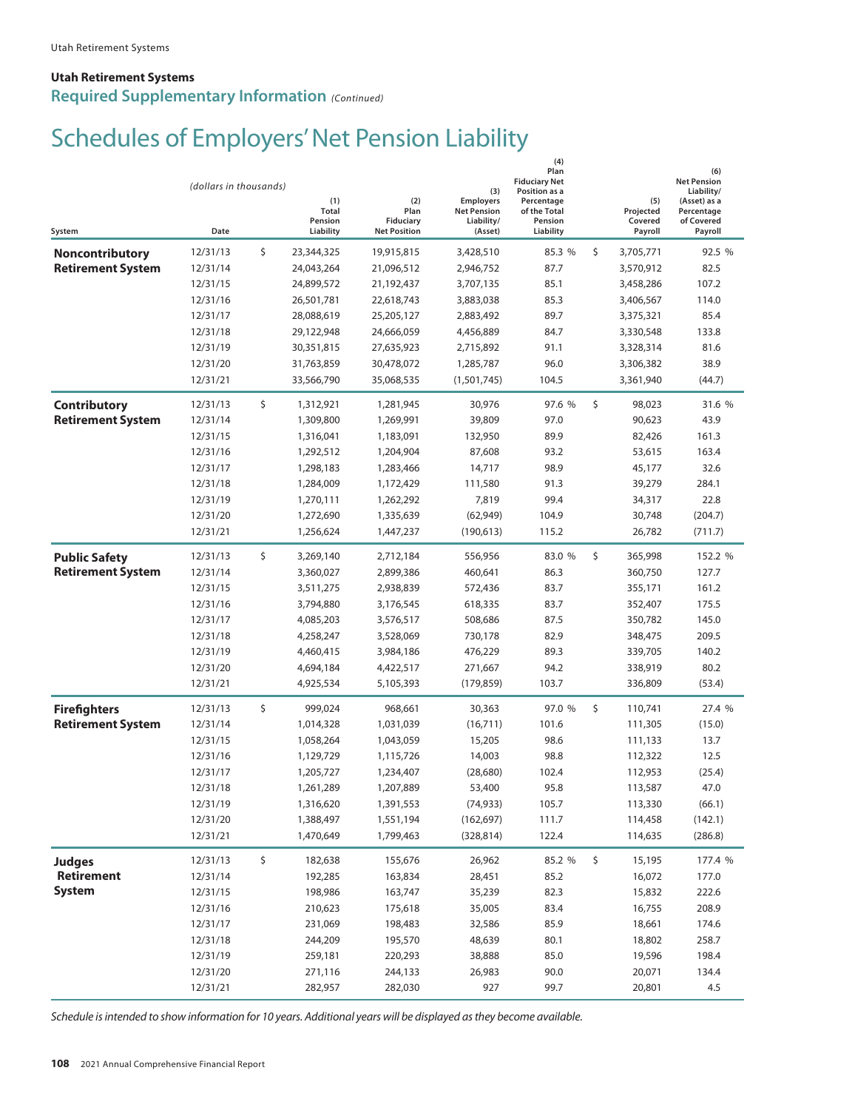#### **Utah Retirement Systems Required Supplementary Information** *(Continued)*

# Schedules of Employers' Net Pension Liability Schedules of Employers' Net Pension Liability

|                          | (dollars in thousands) | (1)<br><b>Total</b><br>Pension | (2)<br>Plan<br><b>Fiduciary</b> | (3)<br><b>Employers</b><br><b>Net Pension</b><br>Liability/ | (4)<br>Plan<br><b>Fiduciary Net</b><br>Position as a<br>Percentage<br>of the Total<br>Pension | (5)<br>Projected<br>Covered | (6)<br><b>Net Pension</b><br>Liability/<br>(Asset) as a<br>Percentage<br>of Covered |
|--------------------------|------------------------|--------------------------------|---------------------------------|-------------------------------------------------------------|-----------------------------------------------------------------------------------------------|-----------------------------|-------------------------------------------------------------------------------------|
| System                   | Date                   | Liability                      | <b>Net Position</b>             | (Asset)                                                     | Liability                                                                                     | Payroll                     | Payroll                                                                             |
| Noncontributory          | 12/31/13               | \$<br>23,344,325               | 19,915,815                      | 3,428,510                                                   | 85.3 %                                                                                        | \$<br>3,705,771             | 92.5 %                                                                              |
| <b>Retirement System</b> | 12/31/14               | 24,043,264                     | 21,096,512                      | 2,946,752                                                   | 87.7                                                                                          | 3,570,912                   | 82.5                                                                                |
|                          | 12/31/15               | 24,899,572                     | 21,192,437                      | 3,707,135                                                   | 85.1                                                                                          | 3,458,286                   | 107.2                                                                               |
|                          | 12/31/16               | 26,501,781                     | 22,618,743                      | 3,883,038                                                   | 85.3                                                                                          | 3,406,567                   | 114.0                                                                               |
|                          | 12/31/17               | 28,088,619                     | 25,205,127                      | 2,883,492                                                   | 89.7                                                                                          | 3,375,321                   | 85.4                                                                                |
|                          | 12/31/18               | 29,122,948                     | 24,666,059                      | 4,456,889                                                   | 84.7                                                                                          | 3,330,548                   | 133.8                                                                               |
|                          | 12/31/19               | 30,351,815                     | 27,635,923                      | 2,715,892                                                   | 91.1                                                                                          | 3,328,314                   | 81.6                                                                                |
|                          | 12/31/20               | 31,763,859                     | 30,478,072                      | 1,285,787                                                   | 96.0                                                                                          | 3,306,382                   | 38.9                                                                                |
|                          | 12/31/21               | 33,566,790                     | 35,068,535                      | (1,501,745)                                                 | 104.5                                                                                         | 3,361,940                   | (44.7)                                                                              |
| <b>Contributory</b>      | 12/31/13               | \$<br>1,312,921                | 1,281,945                       | 30,976                                                      | 97.6 %                                                                                        | \$<br>98,023                | 31.6 %                                                                              |
| <b>Retirement System</b> | 12/31/14               | 1,309,800                      | 1,269,991                       | 39,809                                                      | 97.0                                                                                          | 90,623                      | 43.9                                                                                |
|                          | 12/31/15               | 1,316,041                      | 1,183,091                       | 132,950                                                     | 89.9                                                                                          | 82,426                      | 161.3                                                                               |
|                          | 12/31/16               | 1,292,512                      | 1,204,904                       | 87,608                                                      | 93.2                                                                                          | 53,615                      | 163.4                                                                               |
|                          | 12/31/17               | 1,298,183                      | 1,283,466                       | 14,717                                                      | 98.9                                                                                          | 45,177                      | 32.6                                                                                |
|                          | 12/31/18               | 1,284,009                      | 1,172,429                       | 111,580                                                     | 91.3                                                                                          | 39,279                      | 284.1                                                                               |
|                          | 12/31/19               | 1,270,111                      | 1,262,292                       | 7,819                                                       | 99.4                                                                                          | 34,317                      | 22.8                                                                                |
|                          | 12/31/20               | 1,272,690                      | 1,335,639                       | (62, 949)                                                   | 104.9                                                                                         | 30,748                      | (204.7)                                                                             |
|                          | 12/31/21               | 1,256,624                      | 1,447,237                       | (190, 613)                                                  | 115.2                                                                                         | 26,782                      | (711.7)                                                                             |
| <b>Public Safety</b>     | 12/31/13               | \$<br>3,269,140                | 2,712,184                       | 556,956                                                     | 83.0 %                                                                                        | \$<br>365,998               | 152.2 %                                                                             |
| <b>Retirement System</b> | 12/31/14               | 3,360,027                      | 2,899,386                       | 460,641                                                     | 86.3                                                                                          | 360,750                     | 127.7                                                                               |
|                          | 12/31/15               | 3,511,275                      | 2,938,839                       | 572,436                                                     | 83.7                                                                                          | 355,171                     | 161.2                                                                               |
|                          | 12/31/16               | 3,794,880                      | 3,176,545                       | 618,335                                                     | 83.7                                                                                          | 352,407                     | 175.5                                                                               |
|                          | 12/31/17               | 4,085,203                      | 3,576,517                       | 508,686                                                     | 87.5                                                                                          | 350,782                     | 145.0                                                                               |
|                          | 12/31/18               | 4,258,247                      | 3,528,069                       | 730,178                                                     | 82.9                                                                                          | 348,475                     | 209.5                                                                               |
|                          | 12/31/19               | 4,460,415                      | 3,984,186                       | 476,229                                                     | 89.3                                                                                          | 339,705                     | 140.2                                                                               |
|                          | 12/31/20               | 4,694,184                      | 4,422,517                       | 271,667                                                     | 94.2                                                                                          | 338,919                     | 80.2                                                                                |
|                          | 12/31/21               | 4,925,534                      | 5,105,393                       | (179, 859)                                                  | 103.7                                                                                         | 336,809                     | (53.4)                                                                              |
| <b>Firefighters</b>      | 12/31/13               | \$<br>999,024                  | 968,661                         | 30,363                                                      | 97.0 %                                                                                        | \$<br>110,741               | 27.4 %                                                                              |
| <b>Retirement System</b> | 12/31/14               | 1,014,328                      | 1,031,039                       | (16, 711)                                                   | 101.6                                                                                         | 111,305                     | (15.0)                                                                              |
|                          | 12/31/15               | 1,058,264                      | 1,043,059                       | 15,205                                                      | 98.6                                                                                          | 111,133                     | 13.7                                                                                |
|                          | 12/31/16               | 1,129,729                      | 1,115,726                       | 14,003                                                      | 98.8                                                                                          | 112,322                     | 12.5                                                                                |
|                          | 12/31/17               | 1,205,727                      | 1,234,407                       | (28,680)                                                    | 102.4                                                                                         | 112,953                     | (25.4)                                                                              |
|                          | 12/31/18               | 1,261,289                      | 1,207,889                       | 53,400                                                      | 95.8                                                                                          | 113,587                     | 47.0                                                                                |
|                          | 12/31/19               | 1,316,620                      | 1,391,553                       | (74, 933)                                                   | 105.7                                                                                         | 113,330                     | (66.1)                                                                              |
|                          | 12/31/20               | 1,388,497                      | 1,551,194                       | (162, 697)                                                  | 111.7                                                                                         | 114,458                     | (142.1)                                                                             |
|                          | 12/31/21               | 1,470,649                      | 1,799,463                       | (328, 814)                                                  | 122.4                                                                                         | 114,635                     | (286.8)                                                                             |
| <b>Judges</b>            | 12/31/13               | \$<br>182,638                  | 155,676                         | 26,962                                                      | 85.2 %                                                                                        | \$<br>15,195                | 177.4 %                                                                             |
| <b>Retirement</b>        | 12/31/14               | 192,285                        | 163,834                         | 28,451                                                      | 85.2                                                                                          | 16,072                      | 177.0                                                                               |
| <b>System</b>            | 12/31/15               | 198,986                        | 163,747                         | 35,239                                                      | 82.3                                                                                          | 15,832                      | 222.6                                                                               |
|                          | 12/31/16               | 210,623                        | 175,618                         | 35,005                                                      | 83.4                                                                                          | 16,755                      | 208.9                                                                               |
|                          | 12/31/17               | 231,069                        | 198,483                         | 32,586                                                      | 85.9                                                                                          | 18,661                      | 174.6                                                                               |
|                          | 12/31/18               | 244,209                        | 195,570                         | 48,639                                                      | 80.1                                                                                          | 18,802                      | 258.7                                                                               |
|                          | 12/31/19               | 259,181                        | 220,293                         | 38,888                                                      | 85.0                                                                                          | 19,596                      | 198.4                                                                               |
|                          | 12/31/20               | 271,116                        | 244,133                         | 26,983                                                      | 90.0                                                                                          | 20,071                      | 134.4                                                                               |
|                          | 12/31/21               | 282,957                        | 282,030                         | 927                                                         | 99.7                                                                                          | 20,801                      | 4.5                                                                                 |
|                          |                        |                                |                                 |                                                             |                                                                                               |                             |                                                                                     |

Schedule is intended to show information for 10 years. Additional years will be displayed as they become available.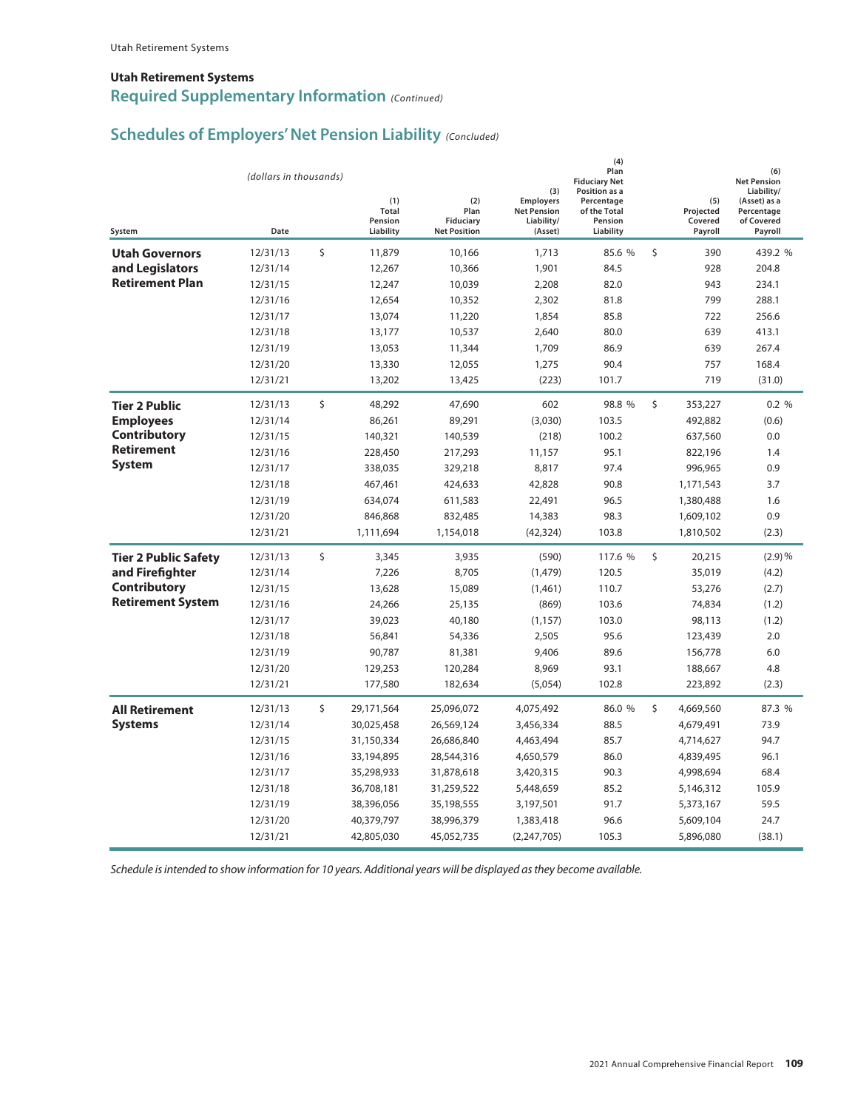## **Required Supplementary Information** (Continued) **Utah Retirement Systems**

#### **Net Pension Liability** *(Concluded)* **Schedules of Employers' Net Pension Liability** (Concluded)

| System                      | (dollars in thousands)<br>Date | (1)<br><b>Total</b><br>Pension<br>Liability | (2)<br>Plan<br>Fiduciary<br><b>Net Position</b> | (3)<br><b>Employers</b><br><b>Net Pension</b><br>Liability/<br>(Asset) | (4)<br>Plan<br><b>Fiduciary Net</b><br>Position as a<br>Percentage<br>of the Total<br>Pension<br>Liability | (5)<br>Projected<br>Covered<br>Payroll | (6)<br><b>Net Pension</b><br>Liability/<br>(Asset) as a<br>Percentage<br>of Covered<br>Payroll |
|-----------------------------|--------------------------------|---------------------------------------------|-------------------------------------------------|------------------------------------------------------------------------|------------------------------------------------------------------------------------------------------------|----------------------------------------|------------------------------------------------------------------------------------------------|
| <b>Utah Governors</b>       | 12/31/13                       | \$<br>11,879                                | 10,166                                          | 1,713                                                                  | 85.6 %                                                                                                     | \$<br>390                              | 439.2 %                                                                                        |
| and Legislators             | 12/31/14                       | 12,267                                      | 10,366                                          | 1,901                                                                  | 84.5                                                                                                       | 928                                    | 204.8                                                                                          |
| <b>Retirement Plan</b>      | 12/31/15                       | 12,247                                      | 10,039                                          | 2,208                                                                  | 82.0                                                                                                       | 943                                    | 234.1                                                                                          |
|                             | 12/31/16                       | 12,654                                      | 10,352                                          | 2,302                                                                  | 81.8                                                                                                       | 799                                    | 288.1                                                                                          |
|                             | 12/31/17                       | 13,074                                      | 11,220                                          | 1,854                                                                  | 85.8                                                                                                       | 722                                    | 256.6                                                                                          |
|                             | 12/31/18                       | 13,177                                      | 10,537                                          | 2,640                                                                  | 80.0                                                                                                       | 639                                    | 413.1                                                                                          |
|                             | 12/31/19                       | 13,053                                      | 11,344                                          | 1,709                                                                  | 86.9                                                                                                       | 639                                    | 267.4                                                                                          |
|                             | 12/31/20                       | 13,330                                      | 12,055                                          | 1,275                                                                  | 90.4                                                                                                       | 757                                    | 168.4                                                                                          |
|                             | 12/31/21                       | 13,202                                      | 13,425                                          | (223)                                                                  | 101.7                                                                                                      | 719                                    | (31.0)                                                                                         |
| <b>Tier 2 Public</b>        | 12/31/13                       | \$<br>48.292                                | 47,690                                          | 602                                                                    | 98.8 %                                                                                                     | \$<br>353,227                          | 0.2 %                                                                                          |
| <b>Employees</b>            | 12/31/14                       | 86,261                                      | 89,291                                          | (3,030)                                                                | 103.5                                                                                                      | 492,882                                | (0.6)                                                                                          |
| <b>Contributory</b>         | 12/31/15                       | 140,321                                     | 140,539                                         | (218)                                                                  | 100.2                                                                                                      | 637,560                                | 0.0                                                                                            |
| <b>Retirement</b>           | 12/31/16                       | 228,450                                     | 217,293                                         | 11,157                                                                 | 95.1                                                                                                       | 822,196                                | 1.4                                                                                            |
| <b>System</b>               | 12/31/17                       | 338,035                                     | 329,218                                         | 8,817                                                                  | 97.4                                                                                                       | 996,965                                | 0.9                                                                                            |
|                             | 12/31/18                       | 467,461                                     | 424,633                                         | 42,828                                                                 | 90.8                                                                                                       | 1,171,543                              | 3.7                                                                                            |
|                             | 12/31/19                       | 634,074                                     | 611,583                                         | 22,491                                                                 | 96.5                                                                                                       | 1,380,488                              | 1.6                                                                                            |
|                             | 12/31/20                       | 846,868                                     | 832,485                                         | 14,383                                                                 | 98.3                                                                                                       | 1,609,102                              | 0.9                                                                                            |
|                             | 12/31/21                       | 1,111,694                                   | 1,154,018                                       | (42, 324)                                                              | 103.8                                                                                                      | 1,810,502                              | (2.3)                                                                                          |
| <b>Tier 2 Public Safety</b> | 12/31/13                       | \$<br>3,345                                 | 3,935                                           | (590)                                                                  | 117.6 %                                                                                                    | \$<br>20,215                           | (2.9)%                                                                                         |
| and Firefighter             | 12/31/14                       | 7,226                                       | 8,705                                           | (1, 479)                                                               | 120.5                                                                                                      | 35,019                                 | (4.2)                                                                                          |
| <b>Contributory</b>         | 12/31/15                       | 13,628                                      | 15,089                                          | (1,461)                                                                | 110.7                                                                                                      | 53,276                                 | (2.7)                                                                                          |
| <b>Retirement System</b>    | 12/31/16                       | 24,266                                      | 25,135                                          | (869)                                                                  | 103.6                                                                                                      | 74,834                                 | (1.2)                                                                                          |
|                             | 12/31/17                       | 39,023                                      | 40,180                                          | (1, 157)                                                               | 103.0                                                                                                      | 98,113                                 | (1.2)                                                                                          |
|                             | 12/31/18                       | 56,841                                      | 54,336                                          | 2,505                                                                  | 95.6                                                                                                       | 123,439                                | 2.0                                                                                            |
|                             | 12/31/19                       | 90,787                                      | 81,381                                          | 9,406                                                                  | 89.6                                                                                                       | 156,778                                | 6.0                                                                                            |
|                             | 12/31/20                       | 129,253                                     | 120,284                                         | 8,969                                                                  | 93.1                                                                                                       | 188,667                                | 4.8                                                                                            |
|                             | 12/31/21                       | 177,580                                     | 182,634                                         | (5,054)                                                                | 102.8                                                                                                      | 223,892                                | (2.3)                                                                                          |
| <b>All Retirement</b>       | 12/31/13                       | \$<br>29,171,564                            | 25,096,072                                      | 4,075,492                                                              | 86.0 %                                                                                                     | \$<br>4,669,560                        | 87.3 %                                                                                         |
| <b>Systems</b>              | 12/31/14                       | 30,025,458                                  | 26,569,124                                      | 3,456,334                                                              | 88.5                                                                                                       | 4,679,491                              | 73.9                                                                                           |
|                             | 12/31/15                       | 31,150,334                                  | 26,686,840                                      | 4,463,494                                                              | 85.7                                                                                                       | 4,714,627                              | 94.7                                                                                           |
|                             | 12/31/16                       | 33,194,895                                  | 28,544,316                                      | 4,650,579                                                              | 86.0                                                                                                       | 4,839,495                              | 96.1                                                                                           |
|                             | 12/31/17                       | 35,298,933                                  | 31,878,618                                      | 3,420,315                                                              | 90.3                                                                                                       | 4,998,694                              | 68.4                                                                                           |
|                             | 12/31/18                       | 36,708,181                                  | 31,259,522                                      | 5,448,659                                                              | 85.2                                                                                                       | 5,146,312                              | 105.9                                                                                          |
|                             | 12/31/19                       | 38,396,056                                  | 35,198,555                                      | 3,197,501                                                              | 91.7                                                                                                       | 5,373,167                              | 59.5                                                                                           |
|                             | 12/31/20                       | 40,379,797                                  | 38,996,379                                      | 1,383,418                                                              | 96.6                                                                                                       | 5,609,104                              | 24.7                                                                                           |
|                             | 12/31/21                       | 42,805,030                                  | 45,052,735                                      | (2,247,705)                                                            | 105.3                                                                                                      | 5,896,080                              | (38.1)                                                                                         |

*Schedule is intended to show information for 10 years. Additional years will be displayed as they become available.*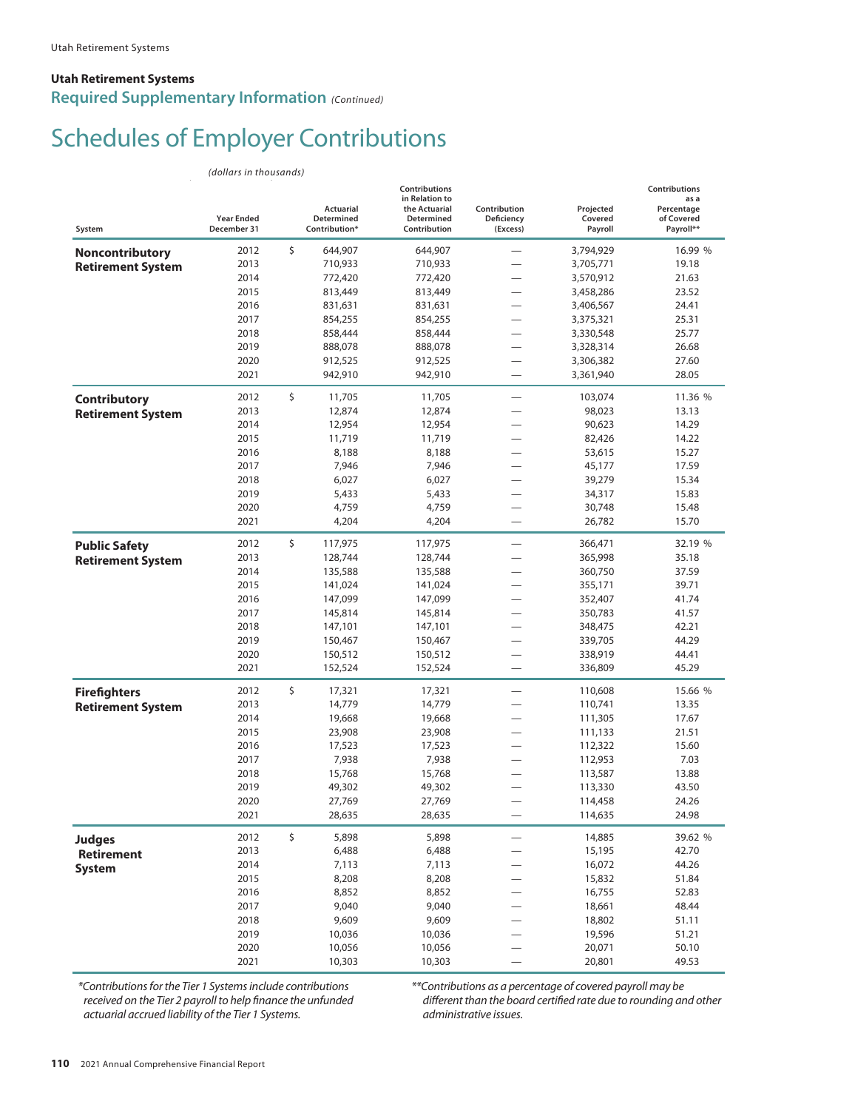#### **Utah Retirement Systems Required Supplementary Information** *(Continued)*

## Schedules of Employer Contributions Schedules of Employer Contributions

*(dollars in thousands) (dollars in thousands)*

| System                   | <b>Year Ended</b><br>December 31 | <b>Actuarial</b><br>Determined<br>Contribution* | <b>Contributions</b><br>in Relation to<br>the Actuarial<br>Determined<br>Contribution | Contribution<br>Deficiency<br>(Excess) | Projected<br>Covered<br>Payroll | <b>Contributions</b><br>as a<br>Percentage<br>of Covered<br>Payroll** |
|--------------------------|----------------------------------|-------------------------------------------------|---------------------------------------------------------------------------------------|----------------------------------------|---------------------------------|-----------------------------------------------------------------------|
| Noncontributory          | 2012                             | \$<br>644,907                                   | 644,907                                                                               | $\overline{\phantom{0}}$               | 3,794,929                       | 16.99 %                                                               |
| <b>Retirement System</b> | 2013                             | 710,933                                         | 710,933                                                                               | —                                      | 3,705,771                       | 19.18                                                                 |
|                          | 2014                             | 772,420                                         | 772,420                                                                               | —                                      | 3,570,912                       | 21.63                                                                 |
|                          | 2015                             | 813,449                                         | 813,449                                                                               | $\overline{\phantom{0}}$               | 3,458,286                       | 23.52                                                                 |
|                          | 2016                             | 831,631                                         | 831,631                                                                               |                                        | 3,406,567                       | 24.41                                                                 |
|                          | 2017                             | 854,255                                         | 854,255                                                                               | $\overline{\phantom{0}}$               | 3,375,321                       | 25.31                                                                 |
|                          | 2018                             | 858,444                                         | 858,444                                                                               |                                        | 3,330,548                       | 25.77                                                                 |
|                          | 2019                             | 888,078                                         | 888,078                                                                               | -                                      | 3,328,314                       | 26.68                                                                 |
|                          | 2020                             | 912,525                                         | 912,525                                                                               | $\overline{\phantom{0}}$               | 3,306,382                       | 27.60                                                                 |
|                          | 2021                             | 942,910                                         | 942,910                                                                               | -                                      | 3,361,940                       | 28.05                                                                 |
| <b>Contributory</b>      | 2012                             | \$<br>11,705                                    | 11,705                                                                                | $\overline{\phantom{0}}$               | 103,074                         | 11.36 %                                                               |
| <b>Retirement System</b> | 2013                             | 12,874                                          | 12,874                                                                                | $\overline{\phantom{0}}$               | 98,023                          | 13.13                                                                 |
|                          | 2014                             | 12,954                                          | 12,954                                                                                |                                        | 90,623                          | 14.29                                                                 |
|                          | 2015                             | 11,719                                          | 11,719                                                                                | --                                     | 82,426                          | 14.22                                                                 |
|                          | 2016                             | 8,188                                           | 8,188                                                                                 |                                        | 53,615                          | 15.27                                                                 |
|                          | 2017                             | 7,946                                           | 7,946                                                                                 | —                                      | 45,177                          | 17.59                                                                 |
|                          | 2018                             | 6,027                                           | 6,027                                                                                 | -                                      | 39,279                          | 15.34                                                                 |
|                          | 2019                             | 5,433                                           | 5,433                                                                                 | -                                      | 34,317                          | 15.83                                                                 |
|                          | 2020                             | 4,759                                           | 4,759                                                                                 |                                        | 30,748                          | 15.48                                                                 |
|                          | 2021                             | 4,204                                           | 4,204                                                                                 |                                        | 26,782                          | 15.70                                                                 |
| <b>Public Safety</b>     | 2012                             | \$<br>117,975                                   | 117,975                                                                               | —                                      | 366,471                         | 32.19 %                                                               |
| <b>Retirement System</b> | 2013                             | 128,744                                         | 128,744                                                                               | $\overline{\phantom{0}}$               | 365,998                         | 35.18                                                                 |
|                          | 2014                             | 135,588                                         | 135,588                                                                               |                                        | 360,750                         | 37.59                                                                 |
|                          | 2015                             | 141,024                                         | 141,024                                                                               | -                                      | 355,171                         | 39.71                                                                 |
|                          | 2016                             | 147,099                                         | 147,099                                                                               | ÷                                      | 352,407                         | 41.74                                                                 |
|                          | 2017                             | 145,814                                         | 145,814                                                                               | -                                      | 350,783                         | 41.57                                                                 |
|                          | 2018                             | 147,101                                         | 147,101                                                                               |                                        | 348,475                         | 42.21                                                                 |
|                          | 2019                             | 150,467                                         | 150,467                                                                               | —                                      | 339,705                         | 44.29                                                                 |
|                          | 2020<br>2021                     | 150,512<br>152,524                              | 150,512<br>152,524                                                                    | $\overline{\phantom{0}}$               | 338,919<br>336,809              | 44.41<br>45.29                                                        |
|                          | 2012                             | \$                                              | 17,321                                                                                | $\overline{\phantom{0}}$               | 110,608                         | 15.66 %                                                               |
| <b>Firefighters</b>      | 2013                             | 17,321<br>14,779                                | 14,779                                                                                |                                        | 110,741                         | 13.35                                                                 |
| <b>Retirement System</b> | 2014                             | 19,668                                          | 19,668                                                                                | -                                      | 111,305                         | 17.67                                                                 |
|                          | 2015                             | 23,908                                          | 23,908                                                                                | -                                      | 111,133                         | 21.51                                                                 |
|                          | 2016                             | 17,523                                          | 17,523                                                                                |                                        | 112,322                         | 15.60                                                                 |
|                          | 2017                             | 7,938                                           | 7,938                                                                                 | $\overline{\phantom{0}}$               | 112,953                         | 7.03                                                                  |
|                          | 2018                             | 15,768                                          | 15,768                                                                                |                                        | 113,587                         | 13.88                                                                 |
|                          | 2019                             | 49,302                                          | 49,302                                                                                |                                        | 113,330                         | 43.50                                                                 |
|                          | 2020                             | 27,769                                          | 27,769                                                                                |                                        | 114,458                         | 24.26                                                                 |
|                          | 2021                             | 28,635                                          | 28,635                                                                                |                                        | 114,635                         | 24.98                                                                 |
| <b>Judges</b>            | 2012                             | \$<br>5,898                                     | 5,898                                                                                 |                                        | 14,885                          | 39.62 %                                                               |
| Retirement               | 2013                             | 6,488                                           | 6,488                                                                                 |                                        | 15,195                          | 42.70                                                                 |
| <b>System</b>            | 2014                             | 7,113                                           | 7,113                                                                                 |                                        | 16,072                          | 44.26                                                                 |
|                          | 2015                             | 8,208                                           | 8,208                                                                                 |                                        | 15,832                          | 51.84                                                                 |
|                          | 2016                             | 8,852                                           | 8,852                                                                                 |                                        | 16,755                          | 52.83                                                                 |
|                          | 2017                             | 9,040                                           | 9,040                                                                                 |                                        | 18,661                          | 48.44                                                                 |
|                          | 2018                             | 9,609                                           | 9,609                                                                                 |                                        | 18,802                          | 51.11                                                                 |
|                          | 2019                             | 10,036                                          | 10,036                                                                                |                                        | 19,596                          | 51.21                                                                 |
|                          | 2020                             | 10,056                                          | 10,056                                                                                |                                        | 20,071                          | 50.10                                                                 |
|                          | 2021                             | 10,303                                          | 10,303                                                                                |                                        | 20,801                          | 49.53                                                                 |

*\*Contributions for the Tier 1 Systems include contributions received on the Tier 2 payroll to help finance the unfunded \*Contributions for the Tier 1 Systems include contributions actuarial accrued liability of the Tier 1 Systems. received on the Tier 2 payroll to help finance the unfunded \*\*Contributions as a percentage of covered payroll may be different than the board certified rate due to rounding actuarial accrued liability of the Tier 1 Systems.*

*\*\*Contributions as a percentage of covered payroll may be different than the board certified rate due to rounding and other administrative issues.*